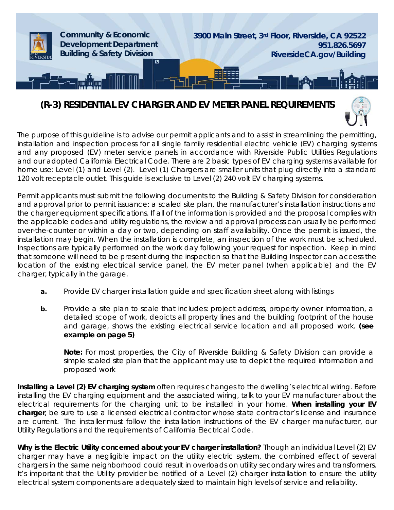

# **(R-3) RESIDENTIAL EV CHARGER AND EV METER PANEL REQUIREMENTS**



The purpose of this guideline is to advise our permit applicants and to assist in streamlining the permitting, installation and inspection process for all single family residential electric vehicle (EV) charging systems and any proposed (EV) meter service panels in accordance with Riverside Public Utilities Regulations and our adopted California Electrical Code. There are 2 basic types of EV charging systems available for home use: Level (1) and Level (2). Level (1) Chargers are smaller units that plug directly into a standard 120 volt receptacle outlet. This guide is exclusive to Level (2) 240 volt EV charging systems.

Permit applicants must submit the following documents to the Building & Safety Division for consideration and approval prior to permit issuance: a scaled site plan, the manufacturer's installation instructions and the charger equipment specifications. If all of the information is provided and the proposal complies with the applicable codes and utility regulations, the review and approval process can usually be performed over-the-counter or within a day or two, depending on staff availability. Once the permit is issued, the installation may begin. When the installation is complete, an inspection of the work must be scheduled. Inspections are typically performed on the work day following your request for inspection. Keep in mind that someone will need to be present during the inspection so that the Building Inspector can access the location of the existing electrical service panel, the EV meter panel (when applicable) and the EV charger, typically in the garage.

- **a.** Provide EV charger installation guide and specification sheet along with listings
- **b.** Provide a site plan to scale that includes: project address, property owner information, a detailed scope of work, depicts all property lines and the building footprint of the house and garage, shows the existing electrical service location and all proposed work. **(see example on page 5)**

**Note:** For most properties, the City of Riverside Building & Safety Division can provide a simple scaled site plan that the applicant may use to depict the required information and proposed work

**Installing a Level (2) EV charging system** often requires changes to the dwelling's electrical wiring. Before installing the EV charging equipment and the associated wiring, talk to your EV manufacturer about the electrical requirements for the charging unit to be installed in your home. **When installing your EV charger**, be sure to use a licensed electrical contractor whose state contractor's license and insurance are current. The installer must follow the installation instructions of the EV charger manufacturer, our Utility Regulations and the requirements of California Electrical Code.

**Why is the Electric Utility concerned about your EV charger installation?** Though an individual Level (2) EV charger may have a negligible impact on the utility electric system, the combined effect of several chargers in the same neighborhood could result in overloads on utility secondary wires and transformers. It's important that the Utility provider be notified of a Level (2) charger installation to ensure the utility electrical system components are adequately sized to maintain high levels of service and reliability.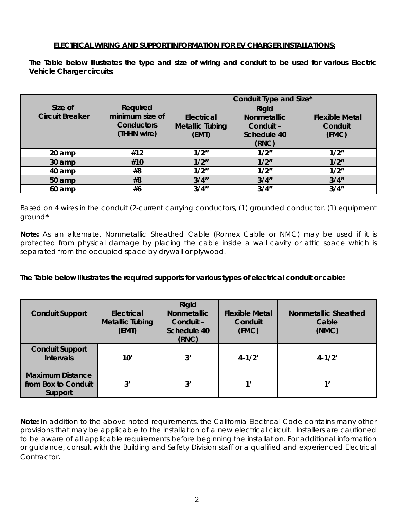#### **ELECTRICAL WIRING AND SUPPORT INFORMATION FOR EV CHARGER INSTALLATIONS:**

**The Table below illustrates the type and size of wiring and conduit to be used for various Electric Vehicle Charger circuits:**

|                                   |                                                                 | Conduit Type and Size*                        |                                                                         |                                           |  |
|-----------------------------------|-----------------------------------------------------------------|-----------------------------------------------|-------------------------------------------------------------------------|-------------------------------------------|--|
| Size of<br><b>Circuit Breaker</b> | Required<br>minimum size of<br><b>Conductors</b><br>(THHN wire) | Electrical<br><b>Metallic Tubing</b><br>(EMT) | <b>Rigid</b><br><b>Nonmetallic</b><br>Conduit -<br>Schedule 40<br>(RNC) | <b>Flexible Metal</b><br>Conduit<br>(FMC) |  |
| 20 amp                            | #12                                                             | 1/2"                                          | 1/2"                                                                    | 1/2"                                      |  |
| 30 amp                            | #10                                                             | 1/2"                                          | 1/2"                                                                    | 1/2"                                      |  |
| 40 amp                            | #8                                                              | 1/2"                                          | 1/2"                                                                    | 1/2"                                      |  |
| 50 amp                            | #8                                                              | 3/4"                                          | 3/4''                                                                   | 3/4''                                     |  |
| 60 amp                            | #6                                                              | 3/4"                                          | 3/4''                                                                   | 3/4''                                     |  |

Based on 4 wires in the conduit (2-current carrying conductors, (1) grounded conductor, (1) equipment ground**\***

**Note:** As an alternate, Nonmetallic Sheathed Cable (Romex Cable or NMC) may be used if it is protected from physical damage by placing the cable inside a wall cavity or attic space which is separated from the occupied space by drywall or plywood.

**The Table below illustrates the required supports for various types of electrical conduit or cable:**

| <b>Conduit Support</b>                                    | Electrical<br><b>Metallic Tubing</b><br>(EMT) | Rigid<br><b>Nonmetallic</b><br>Conduit –<br>Schedule 40<br>(RNC) | <b>Flexible Metal</b><br>Conduit<br>(FMC) | <b>Nonmetallic Sheathed</b><br>Cable<br>(NMC) |
|-----------------------------------------------------------|-----------------------------------------------|------------------------------------------------------------------|-------------------------------------------|-----------------------------------------------|
| <b>Conduit Support</b><br><b>Intervals</b>                | 10'                                           | 3'                                                               | $4 - 1/2'$                                | $4 - 1/2'$                                    |
| <b>Maximum Distance</b><br>from Box to Conduit<br>Support | 3'                                            | 3'                                                               | 1'                                        | 1'                                            |

**Note:** In addition to the above noted requirements, the California Electrical Code contains many other provisions that may be applicable to the installation of a new electrical circuit. Installers are cautioned to be aware of all applicable requirements before beginning the installation. For additional information or guidance, consult with the Building and Safety Division staff or a qualified and experienced Electrical Contractor**.**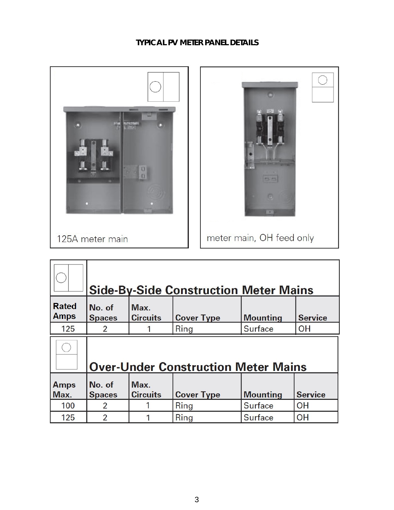## **TYPICAL PV METER PANEL DETAILS**



|                             |                                            |                         | <b>Side-By-Side Construction Meter Mains</b> |                 |                |  |  |  |  |
|-----------------------------|--------------------------------------------|-------------------------|----------------------------------------------|-----------------|----------------|--|--|--|--|
| <b>Rated</b><br><b>Amps</b> | No. of<br><b>Spaces</b>                    | Max.<br><b>Circuits</b> | <b>Cover Type</b>                            | <b>Mounting</b> | <b>Service</b> |  |  |  |  |
| 125                         | 2                                          |                         | Ring                                         | Surface         | <b>OH</b>      |  |  |  |  |
|                             | <b>Over-Under Construction Meter Mains</b> |                         |                                              |                 |                |  |  |  |  |
| <b>Amps</b><br>Max.         | No. of<br><b>Spaces</b>                    | Max.<br><b>Circuits</b> | <b>Cover Type</b>                            | <b>Mounting</b> | <b>Service</b> |  |  |  |  |
| 100                         | $\overline{2}$                             |                         | Ring                                         | <b>Surface</b>  | <b>OH</b>      |  |  |  |  |
| 125                         | $\overline{2}$                             |                         | Ring                                         | Surface         | <b>OH</b>      |  |  |  |  |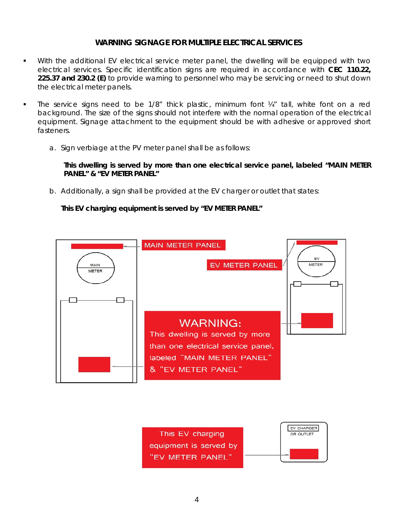#### **WARNING SIGNAGE FOR MULTIPLE ELECTRICAL SERVICES**

- With the additional EV electrical service meter panel, the dwelling will be equipped with two electrical services. Specific identification signs are required in accordance with **CEC 110.22, 225.37 and 230.2 (E)** to provide warning to personnel who may be servicing or need to shut down the electrical meter panels.
- The service signs need to be 1/8" thick plastic, minimum font ¼" tall, white font on a red background. The size of the signs should not interfere with the normal operation of the electrical equipment. Signage attachment to the equipment should be with adhesive or approved short fasteners.
	- a. Sign verbiage at the PV meter panel shall be as follows:

**This dwelling is served by more than one electrical service panel, labeled "MAIN METER PANEL" & "EV METER PANEL"**

b. Additionally, a sign shall be provided at the EV charger or outlet that states:

**This EV charging equipment is served by "EV METER PANEL"**